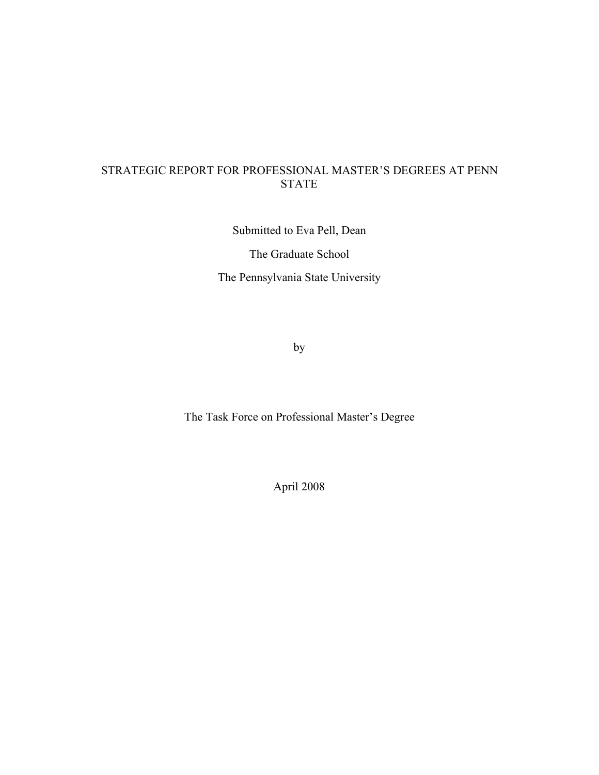## STRATEGIC REPORT FOR PROFESSIONAL MASTER'S DEGREES AT PENN STATE

Submitted to Eva Pell, Dean The Graduate School The Pennsylvania State University

by

The Task Force on Professional Master's Degree

April 2008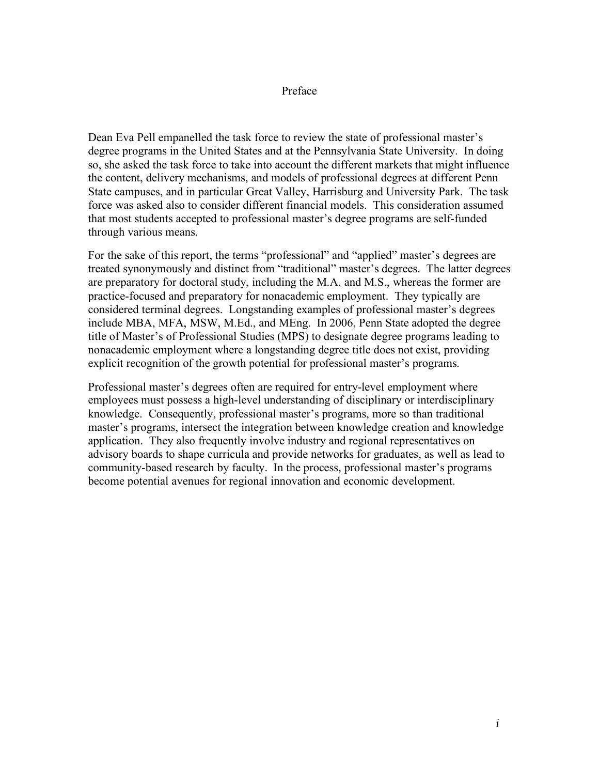#### Preface

Dean Eva Pell empanelled the task force to review the state of professional master's degree programs in the United States and at the Pennsylvania State University. In doing so, she asked the task force to take into account the different markets that might influence the content, delivery mechanisms, and models of professional degrees at different Penn State campuses, and in particular Great Valley, Harrisburg and University Park. The task force was asked also to consider different financial models. This consideration assumed that most students accepted to professional master's degree programs are self-funded through various means.

For the sake of this report, the terms "professional" and "applied" master's degrees are treated synonymously and distinct from "traditional" master's degrees. The latter degrees are preparatory for doctoral study, including the M.A. and M.S., whereas the former are practice-focused and preparatory for nonacademic employment. They typically are considered terminal degrees. Longstanding examples of professional master's degrees include MBA, MFA, MSW, M.Ed., and MEng. In 2006, Penn State adopted the degree title of Master's of Professional Studies (MPS) to designate degree programs leading to nonacademic employment where a longstanding degree title does not exist, providing explicit recognition of the growth potential for professional master's programs.

Professional master's degrees often are required for entry-level employment where employees must possess a high-level understanding of disciplinary or interdisciplinary knowledge. Consequently, professional master's programs, more so than traditional master's programs, intersect the integration between knowledge creation and knowledge application. They also frequently involve industry and regional representatives on advisory boards to shape curricula and provide networks for graduates, as well as lead to community-based research by faculty. In the process, professional master's programs become potential avenues for regional innovation and economic development.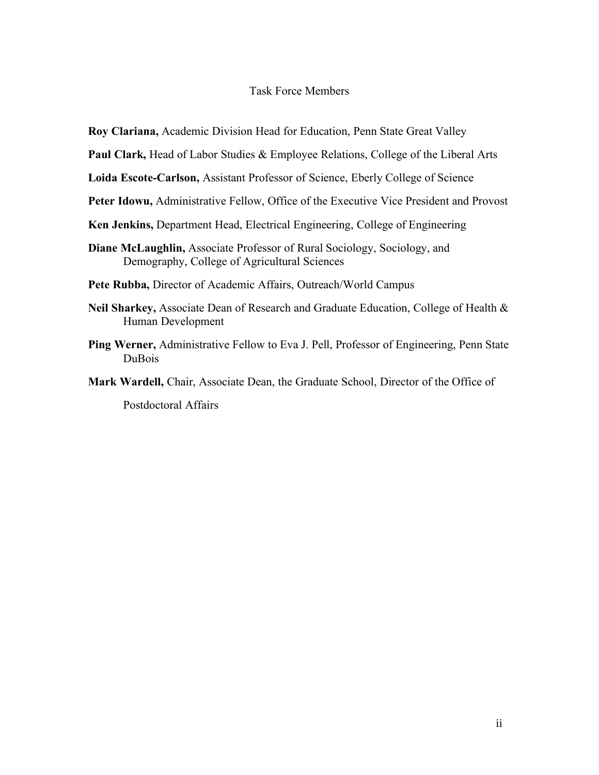#### Task Force Members

**Roy Clariana,** Academic Division Head for Education, Penn State Great Valley

**Paul Clark,** Head of Labor Studies & Employee Relations, College of the Liberal Arts

**Loida Escote-Carlson,** Assistant Professor of Science, Eberly College of Science

- **Peter Idowu,** Administrative Fellow, Office of the Executive Vice President and Provost
- **Ken Jenkins,** Department Head, Electrical Engineering, College of Engineering
- **Diane McLaughlin,** Associate Professor of Rural Sociology, Sociology, and Demography, College of Agricultural Sciences

**Pete Rubba,** Director of Academic Affairs, Outreach/World Campus

- **Neil Sharkey,** Associate Dean of Research and Graduate Education, College of Health & Human Development
- **Ping Werner,** Administrative Fellow to Eva J. Pell, Professor of Engineering, Penn State DuBois
- **Mark Wardell,** Chair, Associate Dean, the Graduate School, Director of the Office of

Postdoctoral Affairs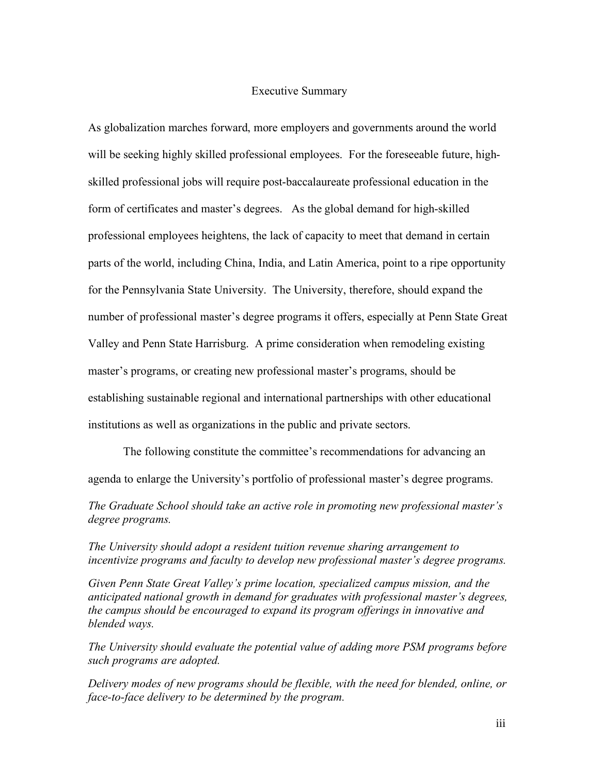#### Executive Summary

As globalization marches forward, more employers and governments around the world will be seeking highly skilled professional employees. For the foreseeable future, highskilled professional jobs will require post-baccalaureate professional education in the form of certificates and master's degrees. As the global demand for high-skilled professional employees heightens, the lack of capacity to meet that demand in certain parts of the world, including China, India, and Latin America, point to a ripe opportunity for the Pennsylvania State University. The University, therefore, should expand the number of professional master's degree programs it offers, especially at Penn State Great Valley and Penn State Harrisburg. A prime consideration when remodeling existing master's programs, or creating new professional master's programs, should be establishing sustainable regional and international partnerships with other educational institutions as well as organizations in the public and private sectors.

The following constitute the committee's recommendations for advancing an agenda to enlarge the University's portfolio of professional master's degree programs.

*The Graduate School should take an active role in promoting new professional master's degree programs.* 

*The University should adopt a resident tuition revenue sharing arrangement to incentivize programs and faculty to develop new professional master's degree programs.*

*Given Penn State Great Valley's prime location, specialized campus mission, and the anticipated national growth in demand for graduates with professional master's degrees, the campus should be encouraged to expand its program offerings in innovative and blended ways.*

*The University should evaluate the potential value of adding more PSM programs before such programs are adopted.* 

*Delivery modes of new programs should be flexible, with the need for blended, online, or face-to-face delivery to be determined by the program.*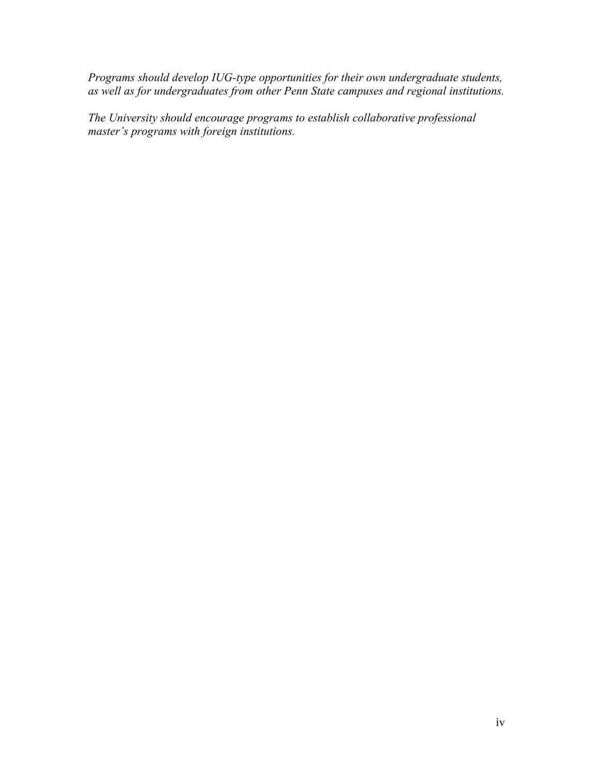*Programs should develop IUG-type opportunities for their own undergraduate students, as well as for undergraduates from other Penn State campuses and regional institutions.*

*The University should encourage programs to establish collaborative professional master's programs with foreign institutions.*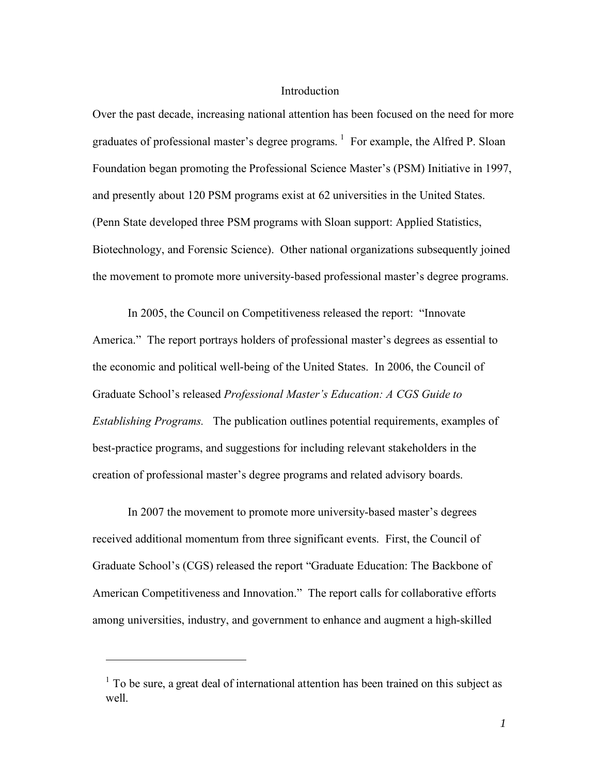#### **Introduction**

Over the past decade, increasing national attention has been focused on the need for more graduates of professional master's degree programs.  $1$  For example, the Alfred P. Sloan Foundation began promoting the Professional Science Master's (PSM) Initiative in 1997, and presently about 120 PSM programs exist at 62 universities in the United States. (Penn State developed three PSM programs with Sloan support: Applied Statistics, Biotechnology, and Forensic Science). Other national organizations subsequently joined the movement to promote more university-based professional master's degree programs.

In 2005, the Council on Competitiveness released the report: "Innovate America." The report portrays holders of professional master's degrees as essential to the economic and political well-being of the United States. In 2006, the Council of Graduate School's released *Professional Master's Education: A CGS Guide to Establishing Programs.* The publication outlines potential requirements, examples of best-practice programs, and suggestions for including relevant stakeholders in the creation of professional master's degree programs and related advisory boards.

In 2007 the movement to promote more university-based master's degrees received additional momentum from three significant events. First, the Council of Graduate School's (CGS) released the report "Graduate Education: The Backbone of American Competitiveness and Innovation." The report calls for collaborative efforts among universities, industry, and government to enhance and augment a high-skilled

 $\overline{a}$ 

<sup>&</sup>lt;sup>1</sup> To be sure, a great deal of international attention has been trained on this subject as well.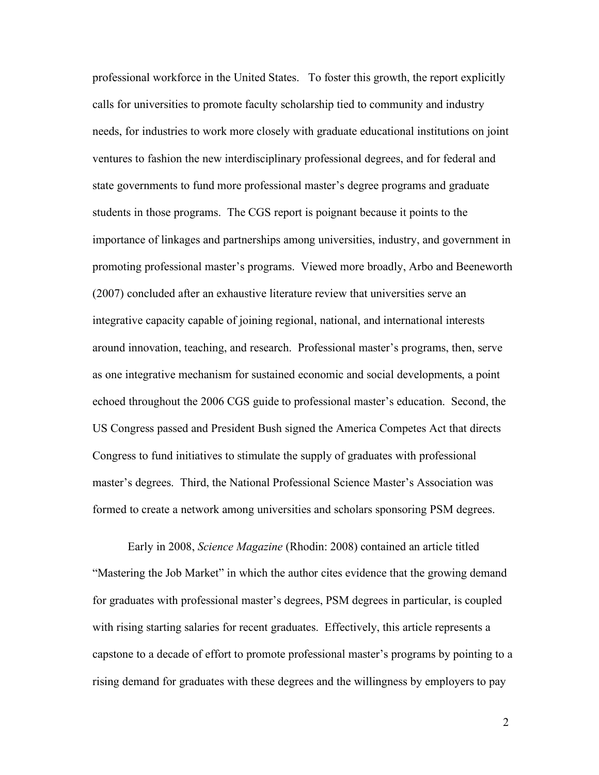professional workforce in the United States. To foster this growth, the report explicitly calls for universities to promote faculty scholarship tied to community and industry needs, for industries to work more closely with graduate educational institutions on joint ventures to fashion the new interdisciplinary professional degrees, and for federal and state governments to fund more professional master's degree programs and graduate students in those programs. The CGS report is poignant because it points to the importance of linkages and partnerships among universities, industry, and government in promoting professional master's programs. Viewed more broadly, Arbo and Beeneworth (2007) concluded after an exhaustive literature review that universities serve an integrative capacity capable of joining regional, national, and international interests around innovation, teaching, and research. Professional master's programs, then, serve as one integrative mechanism for sustained economic and social developments, a point echoed throughout the 2006 CGS guide to professional master's education. Second, the US Congress passed and President Bush signed the America Competes Act that directs Congress to fund initiatives to stimulate the supply of graduates with professional master's degrees. Third, the National Professional Science Master's Association was formed to create a network among universities and scholars sponsoring PSM degrees.

Early in 2008, *Science Magazine* (Rhodin: 2008) contained an article titled "Mastering the Job Market" in which the author cites evidence that the growing demand for graduates with professional master's degrees, PSM degrees in particular, is coupled with rising starting salaries for recent graduates. Effectively, this article represents a capstone to a decade of effort to promote professional master's programs by pointing to a rising demand for graduates with these degrees and the willingness by employers to pay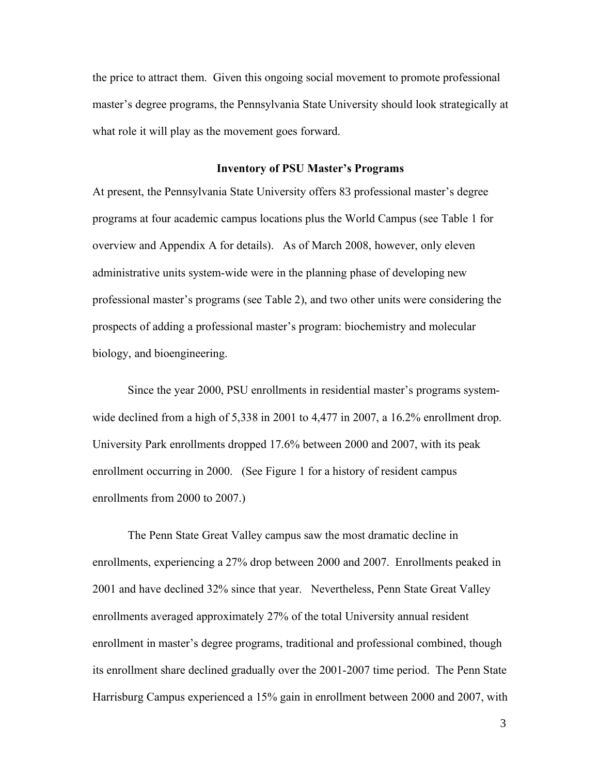the price to attract them. Given this ongoing social movement to promote professional master's degree programs, the Pennsylvania State University should look strategically at what role it will play as the movement goes forward.

#### **Inventory of PSU Master's Programs**

At present, the Pennsylvania State University offers 83 professional master's degree programs at four academic campus locations plus the World Campus (see Table 1 for overview and Appendix A for details). As of March 2008, however, only eleven administrative units system-wide were in the planning phase of developing new professional master's programs (see Table 2), and two other units were considering the prospects of adding a professional master's program: biochemistry and molecular biology, and bioengineering.

Since the year 2000, PSU enrollments in residential master's programs systemwide declined from a high of 5,338 in 2001 to 4,477 in 2007, a 16.2% enrollment drop. University Park enrollments dropped 17.6% between 2000 and 2007, with its peak enrollment occurring in 2000. (See Figure 1 for a history of resident campus enrollments from 2000 to 2007.)

The Penn State Great Valley campus saw the most dramatic decline in enrollments, experiencing a 27% drop between 2000 and 2007. Enrollments peaked in 2001 and have declined 32% since that year. Nevertheless, Penn State Great Valley enrollments averaged approximately 27% of the total University annual resident enrollment in master's degree programs, traditional and professional combined, though its enrollment share declined gradually over the 2001-2007 time period. The Penn State Harrisburg Campus experienced a 15% gain in enrollment between 2000 and 2007, with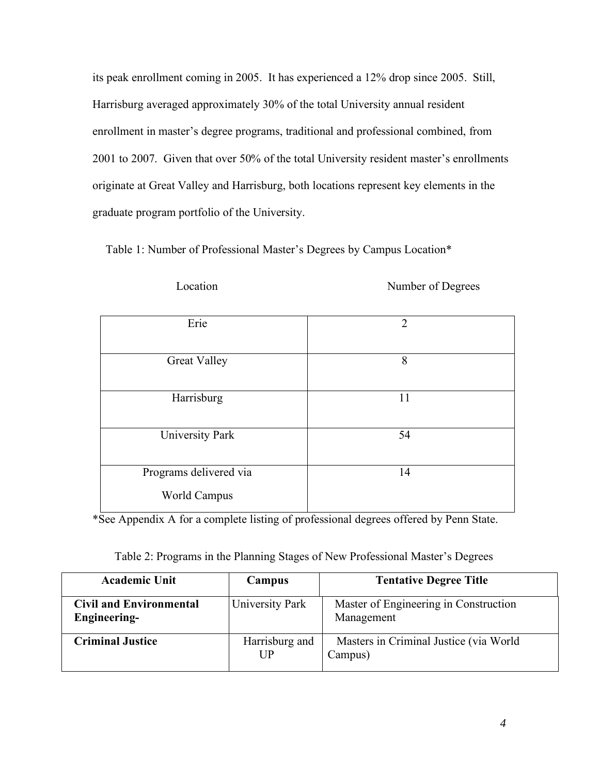its peak enrollment coming in 2005. It has experienced a 12% drop since 2005. Still, Harrisburg averaged approximately 30% of the total University annual resident enrollment in master's degree programs, traditional and professional combined, from 2001 to 2007. Given that over 50% of the total University resident master's enrollments originate at Great Valley and Harrisburg, both locations represent key elements in the graduate program portfolio of the University.

Table 1: Number of Professional Master's Degrees by Campus Location\*

Location Number of Degrees

| Erie                   | $\overline{2}$ |
|------------------------|----------------|
| <b>Great Valley</b>    | 8              |
| Harrisburg             | 11             |
| University Park        | 54             |
| Programs delivered via | 14             |
| <b>World Campus</b>    |                |

\*See Appendix A for a complete listing of professional degrees offered by Penn State.

| Table 2: Programs in the Planning Stages of New Professional Master's Degrees |  |  |  |  |
|-------------------------------------------------------------------------------|--|--|--|--|
|-------------------------------------------------------------------------------|--|--|--|--|

| <b>Academic Unit</b>                                  | Campus               | <b>Tentative Degree Title</b>                       |
|-------------------------------------------------------|----------------------|-----------------------------------------------------|
| <b>Civil and Environmental</b><br><b>Engineering-</b> | University Park      | Master of Engineering in Construction<br>Management |
| <b>Criminal Justice</b>                               | Harrisburg and<br>UР | Masters in Criminal Justice (via World)<br>Campus)  |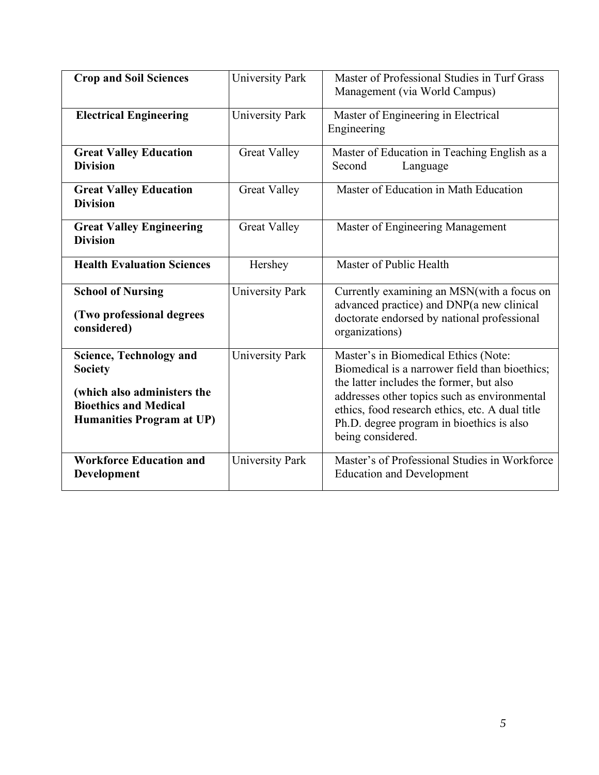| <b>Crop and Soil Sciences</b>                                                                                                                       | University Park        | Master of Professional Studies in Turf Grass<br>Management (via World Campus)                                                                                                                                                                                                                           |
|-----------------------------------------------------------------------------------------------------------------------------------------------------|------------------------|---------------------------------------------------------------------------------------------------------------------------------------------------------------------------------------------------------------------------------------------------------------------------------------------------------|
| <b>Electrical Engineering</b>                                                                                                                       | <b>University Park</b> | Master of Engineering in Electrical<br>Engineering                                                                                                                                                                                                                                                      |
| <b>Great Valley Education</b><br><b>Division</b>                                                                                                    | <b>Great Valley</b>    | Master of Education in Teaching English as a<br>Language<br>Second                                                                                                                                                                                                                                      |
| <b>Great Valley Education</b><br><b>Division</b>                                                                                                    | <b>Great Valley</b>    | Master of Education in Math Education                                                                                                                                                                                                                                                                   |
| <b>Great Valley Engineering</b><br><b>Division</b>                                                                                                  | <b>Great Valley</b>    | Master of Engineering Management                                                                                                                                                                                                                                                                        |
| <b>Health Evaluation Sciences</b>                                                                                                                   | Hershey                | Master of Public Health                                                                                                                                                                                                                                                                                 |
| <b>School of Nursing</b><br>(Two professional degrees<br>considered)                                                                                | University Park        | Currently examining an MSN(with a focus on<br>advanced practice) and DNP(a new clinical<br>doctorate endorsed by national professional<br>organizations)                                                                                                                                                |
| <b>Science, Technology and</b><br><b>Society</b><br>(which also administers the<br><b>Bioethics and Medical</b><br><b>Humanities Program at UP)</b> | <b>University Park</b> | Master's in Biomedical Ethics (Note:<br>Biomedical is a narrower field than bioethics;<br>the latter includes the former, but also<br>addresses other topics such as environmental<br>ethics, food research ethics, etc. A dual title<br>Ph.D. degree program in bioethics is also<br>being considered. |
| <b>Workforce Education and</b><br>Development                                                                                                       | <b>University Park</b> | Master's of Professional Studies in Workforce<br><b>Education and Development</b>                                                                                                                                                                                                                       |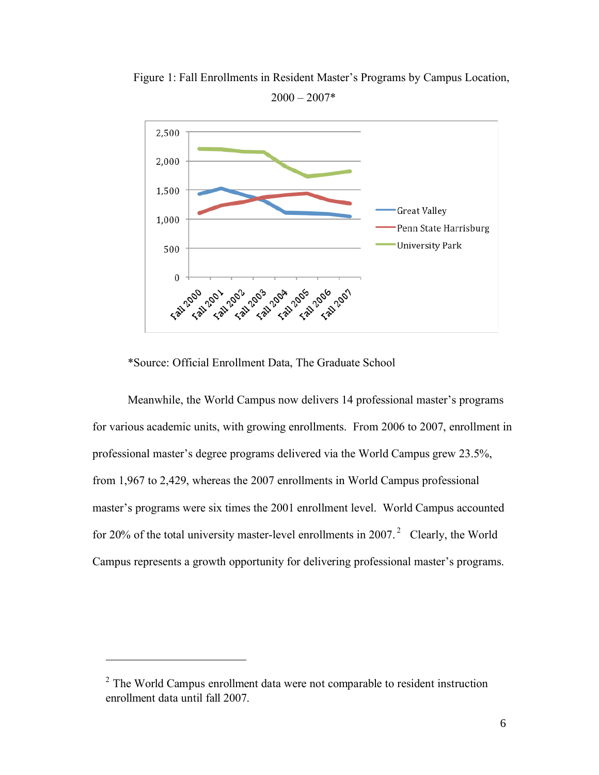

Figure 1: Fall Enrollments in Resident Master's Programs by Campus Location,  $2000 - 2007*$ 

\*Source: Official Enrollment Data, The Graduate School

Meanwhile, the World Campus now delivers 14 professional master's programs for various academic units, with growing enrollments. From 2006 to 2007, enrollment in professional master's degree programs delivered via the World Campus grew 23.5%, from 1,967 to 2,429, whereas the 2007 enrollments in World Campus professional master's programs were six times the 2001 enrollment level. World Campus accounted for 20% of the total university master-level enrollments in 2007. $2$  Clearly, the World Campus represents a growth opportunity for delivering professional master's programs.

 $\overline{a}$ 

 $2$  The World Campus enrollment data were not comparable to resident instruction enrollment data until fall 2007.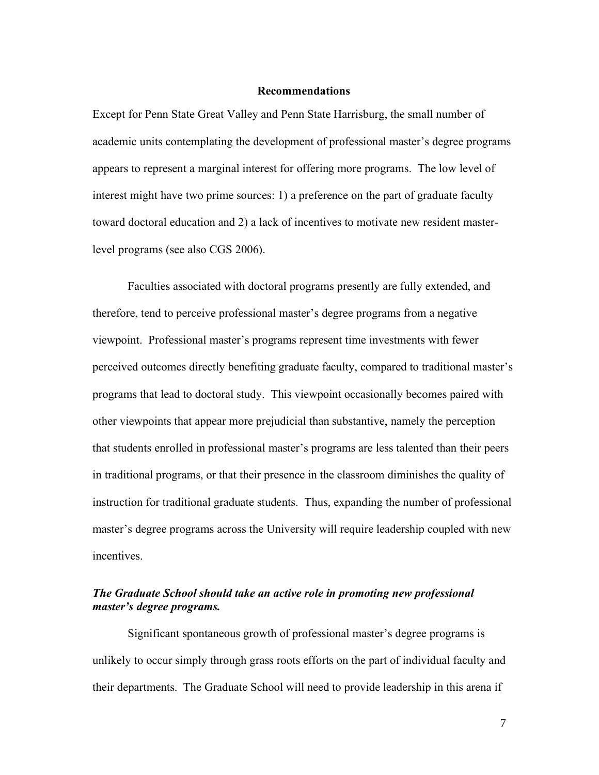#### **Recommendations**

Except for Penn State Great Valley and Penn State Harrisburg, the small number of academic units contemplating the development of professional master's degree programs appears to represent a marginal interest for offering more programs. The low level of interest might have two prime sources: 1) a preference on the part of graduate faculty toward doctoral education and 2) a lack of incentives to motivate new resident masterlevel programs (see also CGS 2006).

Faculties associated with doctoral programs presently are fully extended, and therefore, tend to perceive professional master's degree programs from a negative viewpoint. Professional master's programs represent time investments with fewer perceived outcomes directly benefiting graduate faculty, compared to traditional master's programs that lead to doctoral study. This viewpoint occasionally becomes paired with other viewpoints that appear more prejudicial than substantive, namely the perception that students enrolled in professional master's programs are less talented than their peers in traditional programs, or that their presence in the classroom diminishes the quality of instruction for traditional graduate students. Thus, expanding the number of professional master's degree programs across the University will require leadership coupled with new incentives.

## *The Graduate School should take an active role in promoting new professional master's degree programs.*

Significant spontaneous growth of professional master's degree programs is unlikely to occur simply through grass roots efforts on the part of individual faculty and their departments. The Graduate School will need to provide leadership in this arena if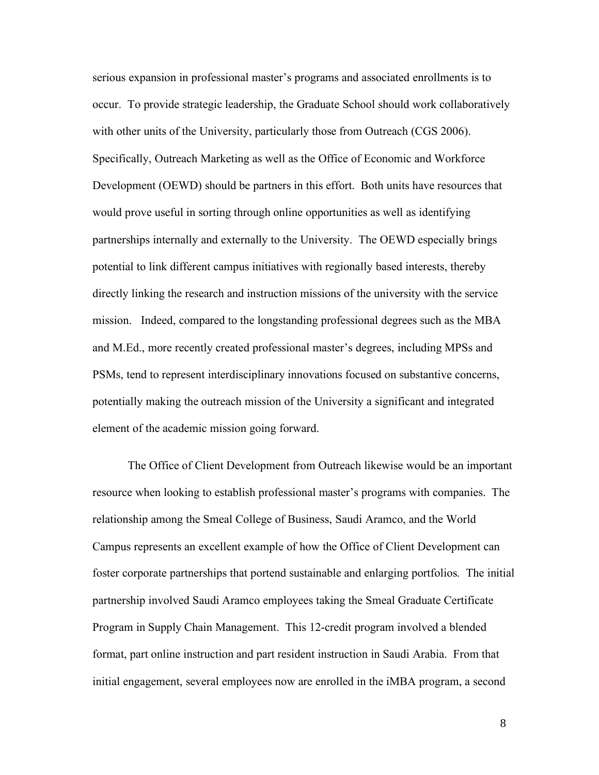serious expansion in professional master's programs and associated enrollments is to occur. To provide strategic leadership, the Graduate School should work collaboratively with other units of the University, particularly those from Outreach (CGS 2006). Specifically, Outreach Marketing as well as the Office of Economic and Workforce Development (OEWD) should be partners in this effort. Both units have resources that would prove useful in sorting through online opportunities as well as identifying partnerships internally and externally to the University. The OEWD especially brings potential to link different campus initiatives with regionally based interests, thereby directly linking the research and instruction missions of the university with the service mission. Indeed, compared to the longstanding professional degrees such as the MBA and M.Ed., more recently created professional master's degrees, including MPSs and PSMs, tend to represent interdisciplinary innovations focused on substantive concerns, potentially making the outreach mission of the University a significant and integrated element of the academic mission going forward.

The Office of Client Development from Outreach likewise would be an important resource when looking to establish professional master's programs with companies. The relationship among the Smeal College of Business, Saudi Aramco, and the World Campus represents an excellent example of how the Office of Client Development can foster corporate partnerships that portend sustainable and enlarging portfolios. The initial partnership involved Saudi Aramco employees taking the Smeal Graduate Certificate Program in Supply Chain Management. This 12-credit program involved a blended format, part online instruction and part resident instruction in Saudi Arabia. From that initial engagement, several employees now are enrolled in the iMBA program, a second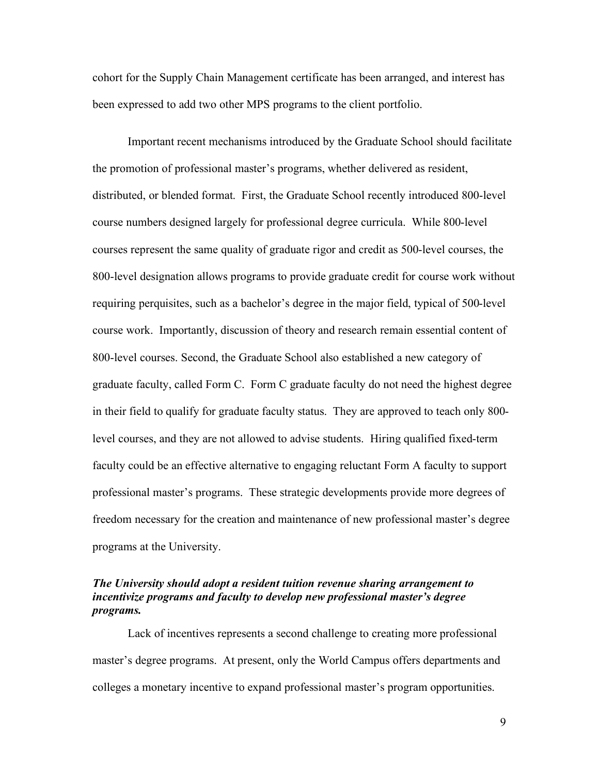cohort for the Supply Chain Management certificate has been arranged, and interest has been expressed to add two other MPS programs to the client portfolio.

Important recent mechanisms introduced by the Graduate School should facilitate the promotion of professional master's programs, whether delivered as resident, distributed, or blended format. First, the Graduate School recently introduced 800-level course numbers designed largely for professional degree curricula. While 800-level courses represent the same quality of graduate rigor and credit as 500-level courses, the 800-level designation allows programs to provide graduate credit for course work without requiring perquisites, such as a bachelor's degree in the major field, typical of 500-level course work. Importantly, discussion of theory and research remain essential content of 800-level courses. Second, the Graduate School also established a new category of graduate faculty, called Form C. Form C graduate faculty do not need the highest degree in their field to qualify for graduate faculty status. They are approved to teach only 800 level courses, and they are not allowed to advise students. Hiring qualified fixed-term faculty could be an effective alternative to engaging reluctant Form A faculty to support professional master's programs. These strategic developments provide more degrees of freedom necessary for the creation and maintenance of new professional master's degree programs at the University.

## *The University should adopt a resident tuition revenue sharing arrangement to incentivize programs and faculty to develop new professional master's degree programs.*

Lack of incentives represents a second challenge to creating more professional master's degree programs. At present, only the World Campus offers departments and colleges a monetary incentive to expand professional master's program opportunities.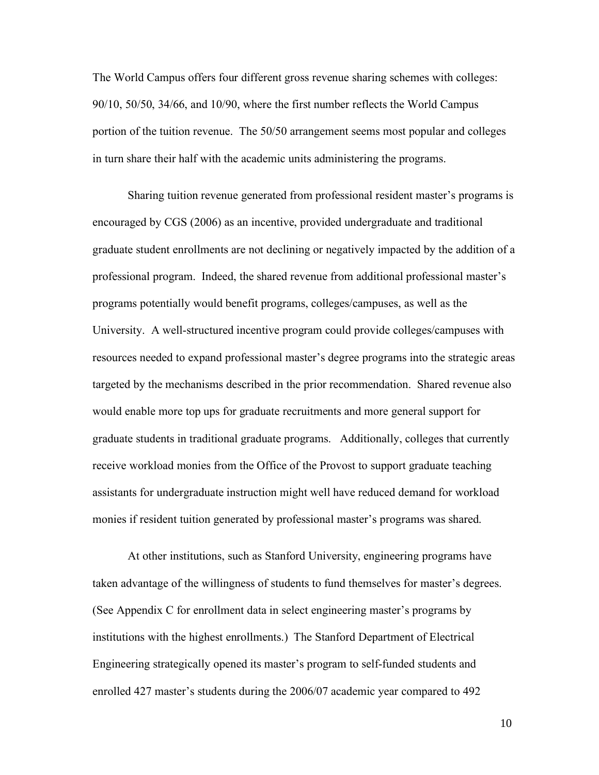The World Campus offers four different gross revenue sharing schemes with colleges: 90/10, 50/50, 34/66, and 10/90, where the first number reflects the World Campus portion of the tuition revenue. The 50/50 arrangement seems most popular and colleges in turn share their half with the academic units administering the programs.

Sharing tuition revenue generated from professional resident master's programs is encouraged by CGS (2006) as an incentive, provided undergraduate and traditional graduate student enrollments are not declining or negatively impacted by the addition of a professional program. Indeed, the shared revenue from additional professional master's programs potentially would benefit programs, colleges/campuses, as well as the University. A well-structured incentive program could provide colleges/campuses with resources needed to expand professional master's degree programs into the strategic areas targeted by the mechanisms described in the prior recommendation. Shared revenue also would enable more top ups for graduate recruitments and more general support for graduate students in traditional graduate programs. Additionally, colleges that currently receive workload monies from the Office of the Provost to support graduate teaching assistants for undergraduate instruction might well have reduced demand for workload monies if resident tuition generated by professional master's programs was shared.

At other institutions, such as Stanford University, engineering programs have taken advantage of the willingness of students to fund themselves for master's degrees. (See Appendix C for enrollment data in select engineering master's programs by institutions with the highest enrollments.) The Stanford Department of Electrical Engineering strategically opened its master's program to self-funded students and enrolled 427 master's students during the 2006/07 academic year compared to 492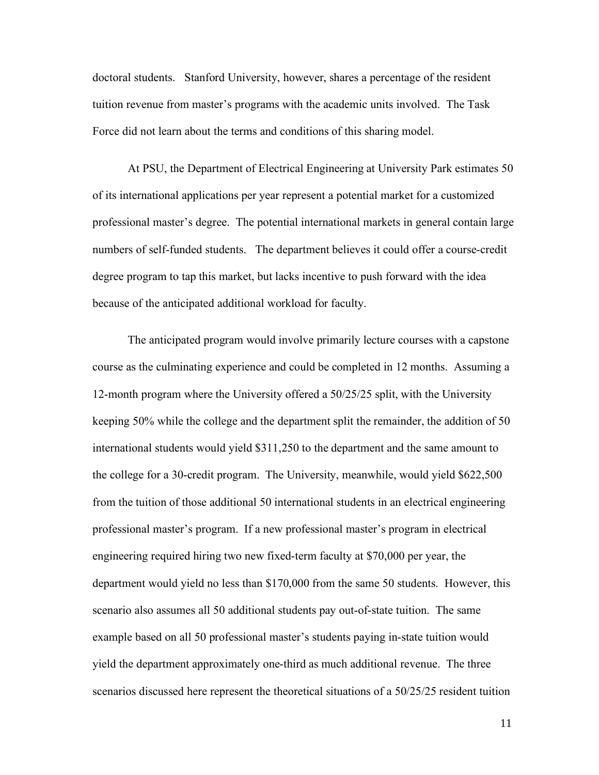doctoral students. Stanford University, however, shares a percentage of the resident tuition revenue from master's programs with the academic units involved. The Task Force did not learn about the terms and conditions of this sharing model.

At PSU, the Department of Electrical Engineering at University Park estimates 50 of its international applications per year represent a potential market for a customized professional master's degree. The potential international markets in general contain large numbers of self-funded students. The department believes it could offer a course-credit degree program to tap this market, but lacks incentive to push forward with the idea because of the anticipated additional workload for faculty.

The anticipated program would involve primarily lecture courses with a capstone course as the culminating experience and could be completed in 12 months. Assuming a 12-month program where the University offered a 50/25/25 split, with the University keeping 50% while the college and the department split the remainder, the addition of 50 international students would yield \$311,250 to the department and the same amount to the college for a 30-credit program. The University, meanwhile, would yield \$622,500 from the tuition of those additional 50 international students in an electrical engineering professional master's program. If a new professional master's program in electrical engineering required hiring two new fixed-term faculty at \$70,000 per year, the department would yield no less than \$170,000 from the same 50 students. However, this scenario also assumes all 50 additional students pay out-of-state tuition. The same example based on all 50 professional master's students paying in-state tuition would yield the department approximately one-third as much additional revenue. The three scenarios discussed here represent the theoretical situations of a 50/25/25 resident tuition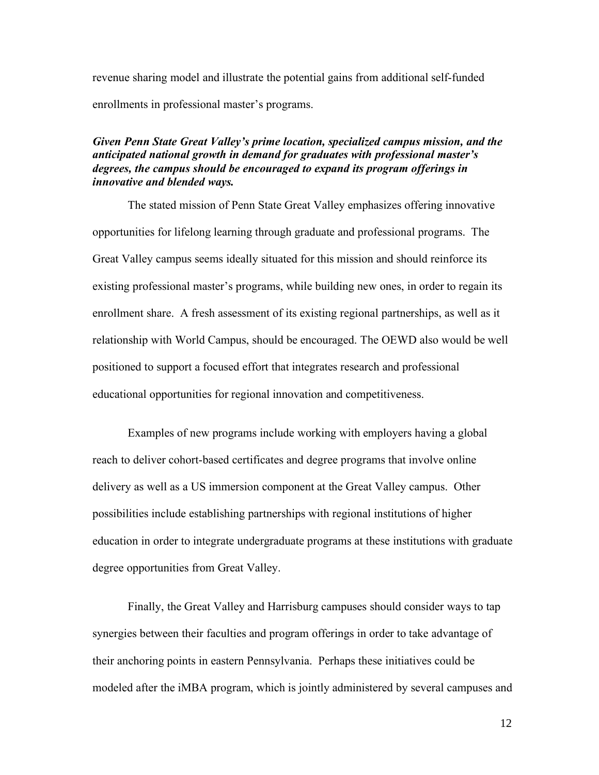revenue sharing model and illustrate the potential gains from additional self-funded enrollments in professional master's programs.

## *Given Penn State Great Valley's prime location, specialized campus mission, and the anticipated national growth in demand for graduates with professional master's degrees, the campus should be encouraged to expand its program offerings in innovative and blended ways.*

The stated mission of Penn State Great Valley emphasizes offering innovative opportunities for lifelong learning through graduate and professional programs. The Great Valley campus seems ideally situated for this mission and should reinforce its existing professional master's programs, while building new ones, in order to regain its enrollment share. A fresh assessment of its existing regional partnerships, as well as it relationship with World Campus, should be encouraged. The OEWD also would be well positioned to support a focused effort that integrates research and professional educational opportunities for regional innovation and competitiveness.

Examples of new programs include working with employers having a global reach to deliver cohort-based certificates and degree programs that involve online delivery as well as a US immersion component at the Great Valley campus. Other possibilities include establishing partnerships with regional institutions of higher education in order to integrate undergraduate programs at these institutions with graduate degree opportunities from Great Valley.

Finally, the Great Valley and Harrisburg campuses should consider ways to tap synergies between their faculties and program offerings in order to take advantage of their anchoring points in eastern Pennsylvania. Perhaps these initiatives could be modeled after the iMBA program, which is jointly administered by several campuses and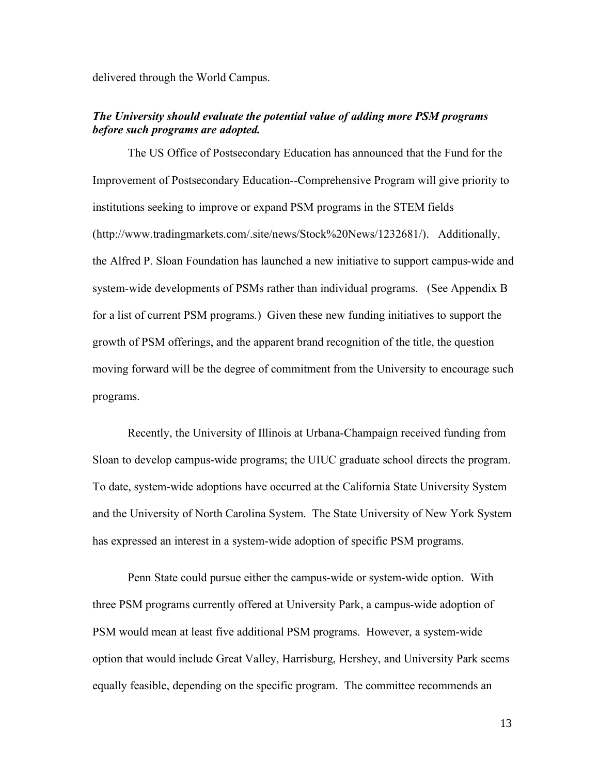delivered through the World Campus.

#### *The University should evaluate the potential value of adding more PSM programs before such programs are adopted.*

The US Office of Postsecondary Education has announced that the Fund for the Improvement of Postsecondary Education--Comprehensive Program will give priority to institutions seeking to improve or expand PSM programs in the STEM fields (http://www.tradingmarkets.com/.site/news/Stock%20News/1232681/). Additionally, the Alfred P. Sloan Foundation has launched a new initiative to support campus-wide and system-wide developments of PSMs rather than individual programs. (See Appendix B for a list of current PSM programs.) Given these new funding initiatives to support the growth of PSM offerings, and the apparent brand recognition of the title, the question moving forward will be the degree of commitment from the University to encourage such programs.

Recently, the University of Illinois at Urbana-Champaign received funding from Sloan to develop campus-wide programs; the UIUC graduate school directs the program. To date, system-wide adoptions have occurred at the California State University System and the University of North Carolina System. The State University of New York System has expressed an interest in a system-wide adoption of specific PSM programs.

Penn State could pursue either the campus-wide or system-wide option. With three PSM programs currently offered at University Park, a campus-wide adoption of PSM would mean at least five additional PSM programs. However, a system-wide option that would include Great Valley, Harrisburg, Hershey, and University Park seems equally feasible, depending on the specific program. The committee recommends an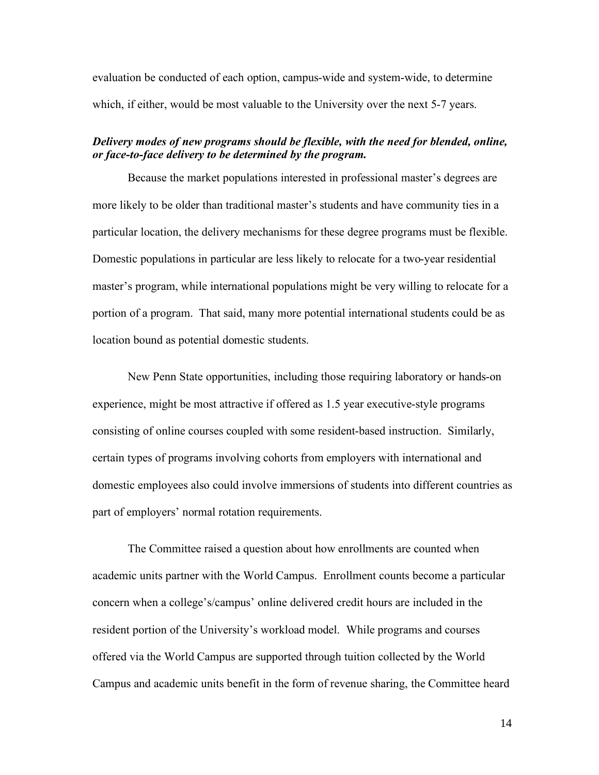evaluation be conducted of each option, campus-wide and system-wide, to determine which, if either, would be most valuable to the University over the next 5-7 years.

## *Delivery modes of new programs should be flexible, with the need for blended, online, or face-to-face delivery to be determined by the program.*

Because the market populations interested in professional master's degrees are more likely to be older than traditional master's students and have community ties in a particular location, the delivery mechanisms for these degree programs must be flexible. Domestic populations in particular are less likely to relocate for a two-year residential master's program, while international populations might be very willing to relocate for a portion of a program. That said, many more potential international students could be as location bound as potential domestic students.

New Penn State opportunities, including those requiring laboratory or hands-on experience, might be most attractive if offered as 1.5 year executive-style programs consisting of online courses coupled with some resident-based instruction. Similarly, certain types of programs involving cohorts from employers with international and domestic employees also could involve immersions of students into different countries as part of employers' normal rotation requirements.

The Committee raised a question about how enrollments are counted when academic units partner with the World Campus. Enrollment counts become a particular concern when a college's/campus' online delivered credit hours are included in the resident portion of the University's workload model. While programs and courses offered via the World Campus are supported through tuition collected by the World Campus and academic units benefit in the form of revenue sharing, the Committee heard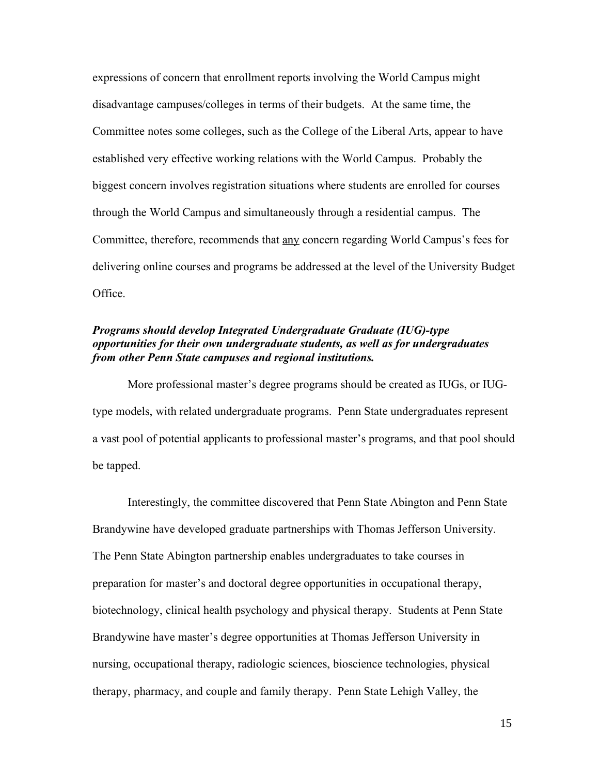expressions of concern that enrollment reports involving the World Campus might disadvantage campuses/colleges in terms of their budgets. At the same time, the Committee notes some colleges, such as the College of the Liberal Arts, appear to have established very effective working relations with the World Campus. Probably the biggest concern involves registration situations where students are enrolled for courses through the World Campus and simultaneously through a residential campus. The Committee, therefore, recommends that any concern regarding World Campus's fees for delivering online courses and programs be addressed at the level of the University Budget Office.

## *Programs should develop Integrated Undergraduate Graduate (IUG)-type opportunities for their own undergraduate students, as well as for undergraduates from other Penn State campuses and regional institutions.*

More professional master's degree programs should be created as IUGs, or IUGtype models, with related undergraduate programs. Penn State undergraduates represent a vast pool of potential applicants to professional master's programs, and that pool should be tapped.

Interestingly, the committee discovered that Penn State Abington and Penn State Brandywine have developed graduate partnerships with Thomas Jefferson University. The Penn State Abington partnership enables undergraduates to take courses in preparation for master's and doctoral degree opportunities in occupational therapy, biotechnology, clinical health psychology and physical therapy. Students at Penn State Brandywine have master's degree opportunities at Thomas Jefferson University in nursing, occupational therapy, radiologic sciences, bioscience technologies, physical therapy, pharmacy, and couple and family therapy. Penn State Lehigh Valley, the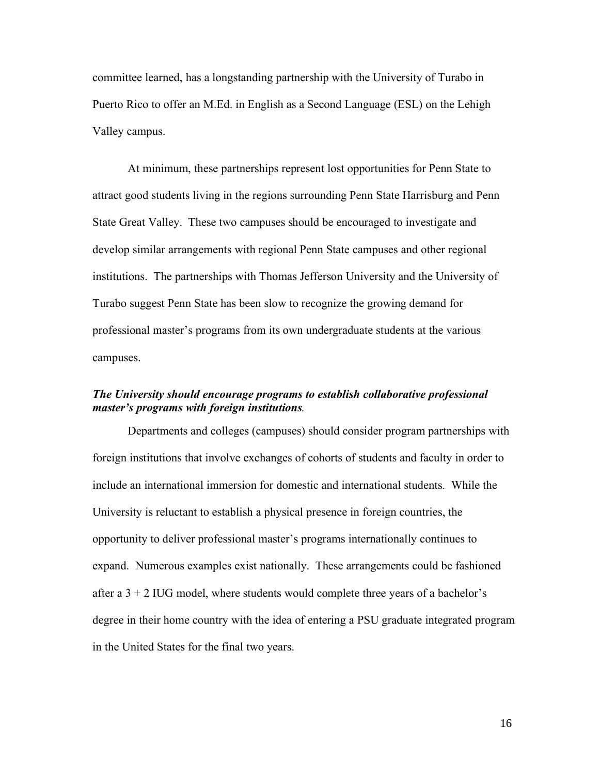committee learned, has a longstanding partnership with the University of Turabo in Puerto Rico to offer an M.Ed. in English as a Second Language (ESL) on the Lehigh Valley campus.

At minimum, these partnerships represent lost opportunities for Penn State to attract good students living in the regions surrounding Penn State Harrisburg and Penn State Great Valley. These two campuses should be encouraged to investigate and develop similar arrangements with regional Penn State campuses and other regional institutions. The partnerships with Thomas Jefferson University and the University of Turabo suggest Penn State has been slow to recognize the growing demand for professional master's programs from its own undergraduate students at the various campuses.

## *The University should encourage programs to establish collaborative professional master's programs with foreign institutions.*

Departments and colleges (campuses) should consider program partnerships with foreign institutions that involve exchanges of cohorts of students and faculty in order to include an international immersion for domestic and international students. While the University is reluctant to establish a physical presence in foreign countries, the opportunity to deliver professional master's programs internationally continues to expand. Numerous examples exist nationally. These arrangements could be fashioned after a  $3 + 2$  IUG model, where students would complete three years of a bachelor's degree in their home country with the idea of entering a PSU graduate integrated program in the United States for the final two years.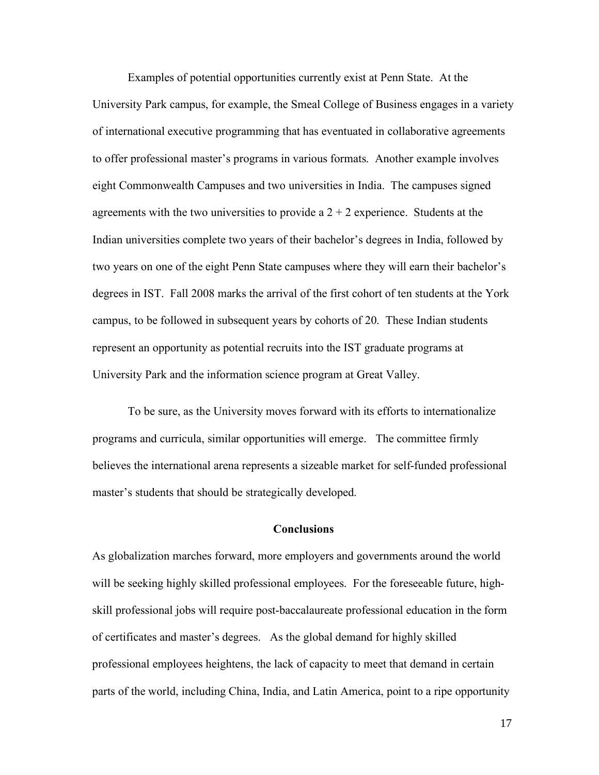Examples of potential opportunities currently exist at Penn State. At the University Park campus, for example, the Smeal College of Business engages in a variety of international executive programming that has eventuated in collaborative agreements to offer professional master's programs in various formats. Another example involves eight Commonwealth Campuses and two universities in India. The campuses signed agreements with the two universities to provide a  $2 + 2$  experience. Students at the Indian universities complete two years of their bachelor's degrees in India, followed by two years on one of the eight Penn State campuses where they will earn their bachelor's degrees in IST. Fall 2008 marks the arrival of the first cohort of ten students at the York campus, to be followed in subsequent years by cohorts of 20. These Indian students represent an opportunity as potential recruits into the IST graduate programs at University Park and the information science program at Great Valley.

To be sure, as the University moves forward with its efforts to internationalize programs and curricula, similar opportunities will emerge. The committee firmly believes the international arena represents a sizeable market for self-funded professional master's students that should be strategically developed.

#### **Conclusions**

As globalization marches forward, more employers and governments around the world will be seeking highly skilled professional employees. For the foreseeable future, highskill professional jobs will require post-baccalaureate professional education in the form of certificates and master's degrees. As the global demand for highly skilled professional employees heightens, the lack of capacity to meet that demand in certain parts of the world, including China, India, and Latin America, point to a ripe opportunity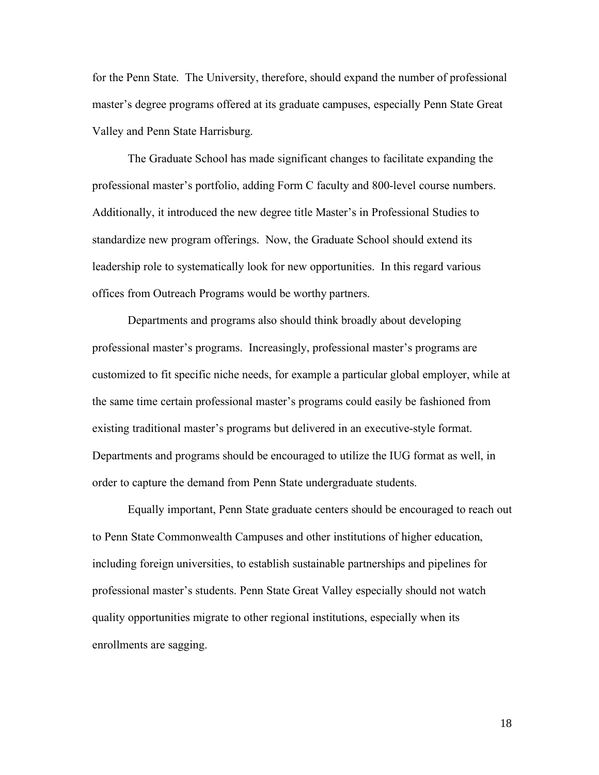for the Penn State. The University, therefore, should expand the number of professional master's degree programs offered at its graduate campuses, especially Penn State Great Valley and Penn State Harrisburg.

The Graduate School has made significant changes to facilitate expanding the professional master's portfolio, adding Form C faculty and 800-level course numbers. Additionally, it introduced the new degree title Master's in Professional Studies to standardize new program offerings. Now, the Graduate School should extend its leadership role to systematically look for new opportunities. In this regard various offices from Outreach Programs would be worthy partners.

Departments and programs also should think broadly about developing professional master's programs. Increasingly, professional master's programs are customized to fit specific niche needs, for example a particular global employer, while at the same time certain professional master's programs could easily be fashioned from existing traditional master's programs but delivered in an executive-style format. Departments and programs should be encouraged to utilize the IUG format as well, in order to capture the demand from Penn State undergraduate students.

Equally important, Penn State graduate centers should be encouraged to reach out to Penn State Commonwealth Campuses and other institutions of higher education, including foreign universities, to establish sustainable partnerships and pipelines for professional master's students. Penn State Great Valley especially should not watch quality opportunities migrate to other regional institutions, especially when its enrollments are sagging.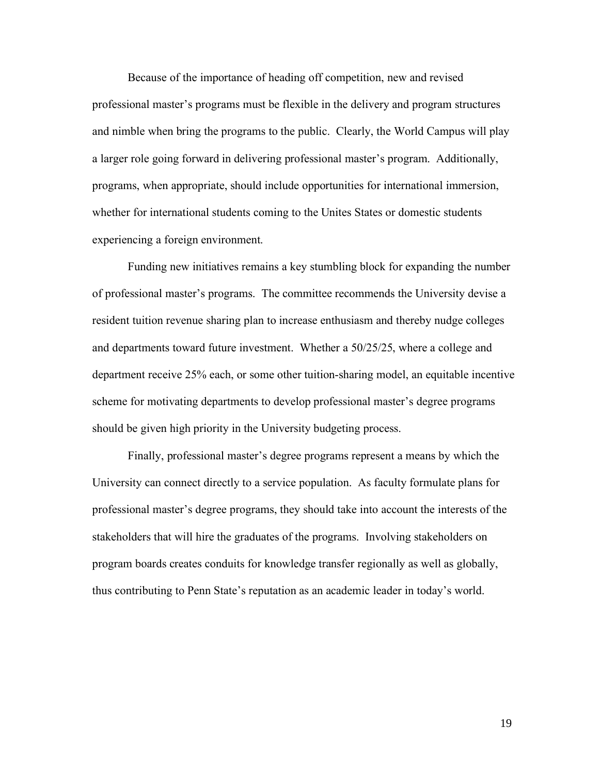Because of the importance of heading off competition, new and revised professional master's programs must be flexible in the delivery and program structures and nimble when bring the programs to the public. Clearly, the World Campus will play a larger role going forward in delivering professional master's program. Additionally, programs, when appropriate, should include opportunities for international immersion, whether for international students coming to the Unites States or domestic students experiencing a foreign environment.

Funding new initiatives remains a key stumbling block for expanding the number of professional master's programs. The committee recommends the University devise a resident tuition revenue sharing plan to increase enthusiasm and thereby nudge colleges and departments toward future investment. Whether a 50/25/25, where a college and department receive 25% each, or some other tuition-sharing model, an equitable incentive scheme for motivating departments to develop professional master's degree programs should be given high priority in the University budgeting process.

Finally, professional master's degree programs represent a means by which the University can connect directly to a service population. As faculty formulate plans for professional master's degree programs, they should take into account the interests of the stakeholders that will hire the graduates of the programs. Involving stakeholders on program boards creates conduits for knowledge transfer regionally as well as globally, thus contributing to Penn State's reputation as an academic leader in today's world.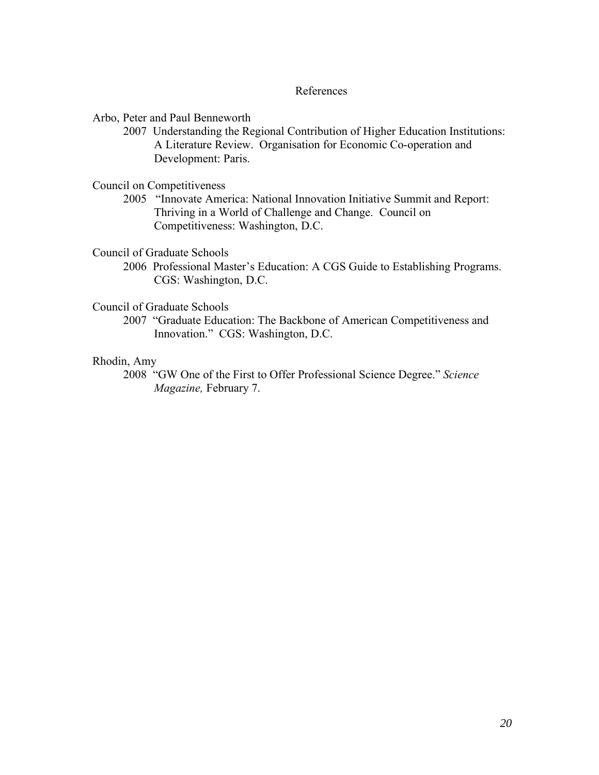#### References

Arbo, Peter and Paul Benneworth

2007 Understanding the Regional Contribution of Higher Education Institutions: A Literature Review. Organisation for Economic Co-operation and Development: Paris.

Council on Competitiveness

2005 "Innovate America: National Innovation Initiative Summit and Report: Thriving in a World of Challenge and Change. Council on Competitiveness: Washington, D.C.

Council of Graduate Schools

2006 Professional Master's Education: A CGS Guide to Establishing Programs. CGS: Washington, D.C.

Council of Graduate Schools

2007 "Graduate Education: The Backbone of American Competitiveness and Innovation." CGS: Washington, D.C.

## Rhodin, Amy

2008 "GW One of the First to Offer Professional Science Degree." *Science Magazine,* February 7.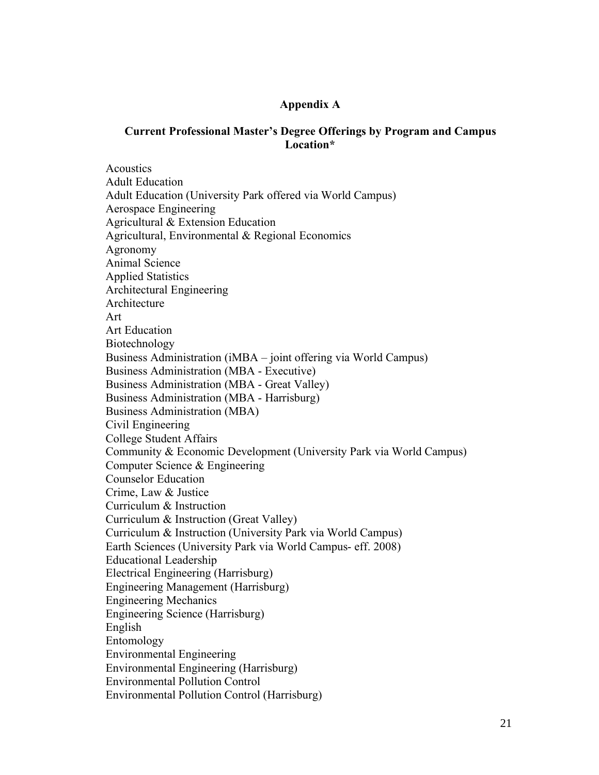## **Appendix A**

## **Current Professional Master's Degree Offerings by Program and Campus Location\***

**Acoustics** Adult Education Adult Education (University Park offered via World Campus) Aerospace Engineering Agricultural & Extension Education Agricultural, Environmental & Regional Economics Agronomy Animal Science Applied Statistics Architectural Engineering Architecture Art Art Education Biotechnology Business Administration (iMBA – joint offering via World Campus) Business Administration (MBA - Executive) Business Administration (MBA - Great Valley) Business Administration (MBA - Harrisburg) Business Administration (MBA) Civil Engineering College Student Affairs Community & Economic Development (University Park via World Campus) Computer Science & Engineering Counselor Education Crime, Law & Justice Curriculum & Instruction Curriculum & Instruction (Great Valley) Curriculum & Instruction (University Park via World Campus) Earth Sciences (University Park via World Campus- eff. 2008) Educational Leadership Electrical Engineering (Harrisburg) Engineering Management (Harrisburg) Engineering Mechanics Engineering Science (Harrisburg) English Entomology Environmental Engineering Environmental Engineering (Harrisburg) Environmental Pollution Control Environmental Pollution Control (Harrisburg)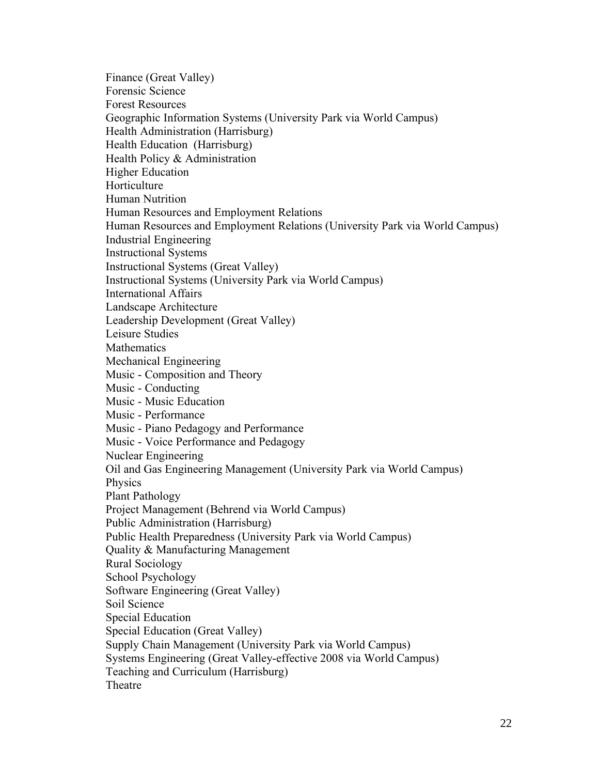Finance (Great Valley) Forensic Science Forest Resources Geographic Information Systems (University Park via World Campus) Health Administration (Harrisburg) Health Education (Harrisburg) Health Policy & Administration Higher Education Horticulture Human Nutrition Human Resources and Employment Relations Human Resources and Employment Relations (University Park via World Campus) Industrial Engineering Instructional Systems Instructional Systems (Great Valley) Instructional Systems (University Park via World Campus) International Affairs Landscape Architecture Leadership Development (Great Valley) Leisure Studies **Mathematics** Mechanical Engineering Music - Composition and Theory Music - Conducting Music - Music Education Music - Performance Music - Piano Pedagogy and Performance Music - Voice Performance and Pedagogy Nuclear Engineering Oil and Gas Engineering Management (University Park via World Campus) **Physics** Plant Pathology Project Management (Behrend via World Campus) Public Administration (Harrisburg) Public Health Preparedness (University Park via World Campus) Quality & Manufacturing Management Rural Sociology School Psychology Software Engineering (Great Valley) Soil Science Special Education Special Education (Great Valley) Supply Chain Management (University Park via World Campus) Systems Engineering (Great Valley-effective 2008 via World Campus) Teaching and Curriculum (Harrisburg) Theatre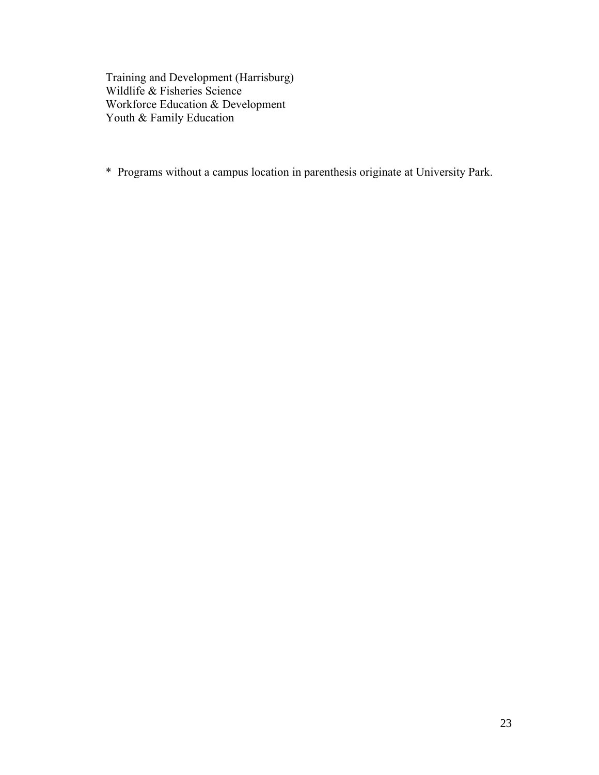Training and Development (Harrisburg) Wildlife & Fisheries Science Workforce Education & Development Youth & Family Education

\* Programs without a campus location in parenthesis originate at University Park.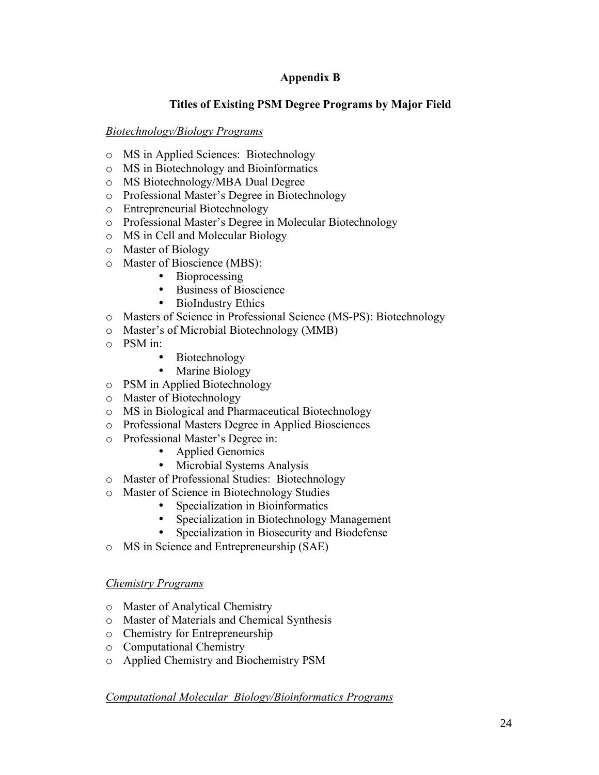# **Appendix B**

# **Titles of Existing PSM Degree Programs by Major Field**

## *Biotechnology/Biology Programs*

- o MS in Applied Sciences: Biotechnology
- o MS in Biotechnology and Bioinformatics
- o MS Biotechnology/MBA Dual Degree
- o Professional Master's Degree in Biotechnology
- o Entrepreneurial Biotechnology
- o Professional Master's Degree in Molecular Biotechnology
- o MS in Cell and Molecular Biology
- o Master of Biology
- o Master of Bioscience (MBS):
	- Bioprocessing
	- Business of Bioscience
	- BioIndustry Ethics
- o Masters of Science in Professional Science (MS-PS): Biotechnology
- o Master's of Microbial Biotechnology (MMB)
- o PSM in:
	- Biotechnology
	- Marine Biology
- o PSM in Applied Biotechnology
- o Master of Biotechnology
- o MS in Biological and Pharmaceutical Biotechnology
- o Professional Masters Degree in Applied Biosciences
- o Professional Master's Degree in:
	- Applied Genomics
	- Microbial Systems Analysis
- o Master of Professional Studies: Biotechnology
- o Master of Science in Biotechnology Studies
	- Specialization in Bioinformatics
		- Specialization in Biotechnology Management<br>• Specialization in Biosecurity and Biodefense
		- Specialization in Biosecurity and Biodefense
- o MS in Science and Entrepreneurship (SAE)

## *Chemistry Programs*

- o Master of Analytical Chemistry
- o Master of Materials and Chemical Synthesis
- o Chemistry for Entrepreneurship
- o Computational Chemistry
- o Applied Chemistry and Biochemistry PSM

# *Computational Molecular Biology/Bioinformatics Programs*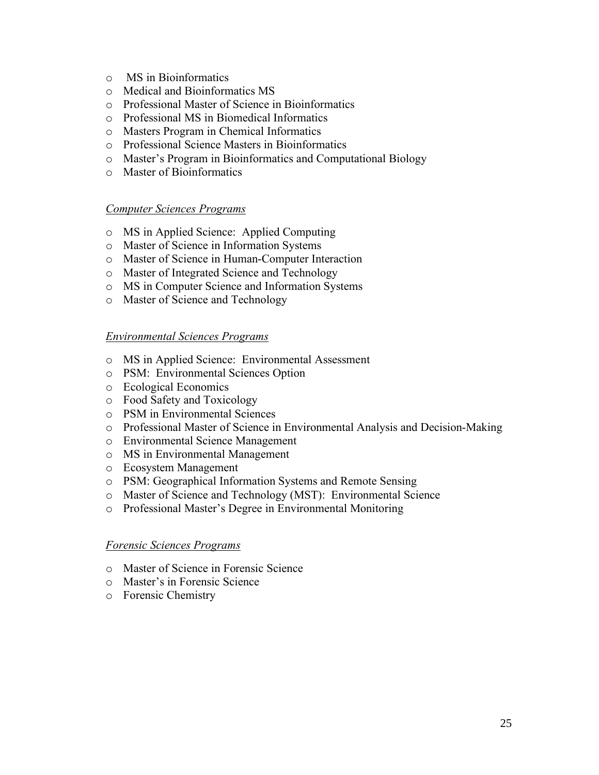- o MS in Bioinformatics
- o Medical and Bioinformatics MS
- o Professional Master of Science in Bioinformatics
- o Professional MS in Biomedical Informatics
- o Masters Program in Chemical Informatics
- o Professional Science Masters in Bioinformatics
- o Master's Program in Bioinformatics and Computational Biology
- o Master of Bioinformatics

#### *Computer Sciences Programs*

- o MS in Applied Science: Applied Computing
- o Master of Science in Information Systems
- o Master of Science in Human-Computer Interaction
- o Master of Integrated Science and Technology
- o MS in Computer Science and Information Systems
- o Master of Science and Technology

#### *Environmental Sciences Programs*

- o MS in Applied Science: Environmental Assessment
- o PSM: Environmental Sciences Option
- o Ecological Economics
- o Food Safety and Toxicology
- o PSM in Environmental Sciences
- o Professional Master of Science in Environmental Analysis and Decision-Making
- o Environmental Science Management
- o MS in Environmental Management
- o Ecosystem Management
- o PSM: Geographical Information Systems and Remote Sensing
- o Master of Science and Technology (MST): Environmental Science
- o Professional Master's Degree in Environmental Monitoring

#### *Forensic Sciences Programs*

- o Master of Science in Forensic Science
- o Master's in Forensic Science
- o Forensic Chemistry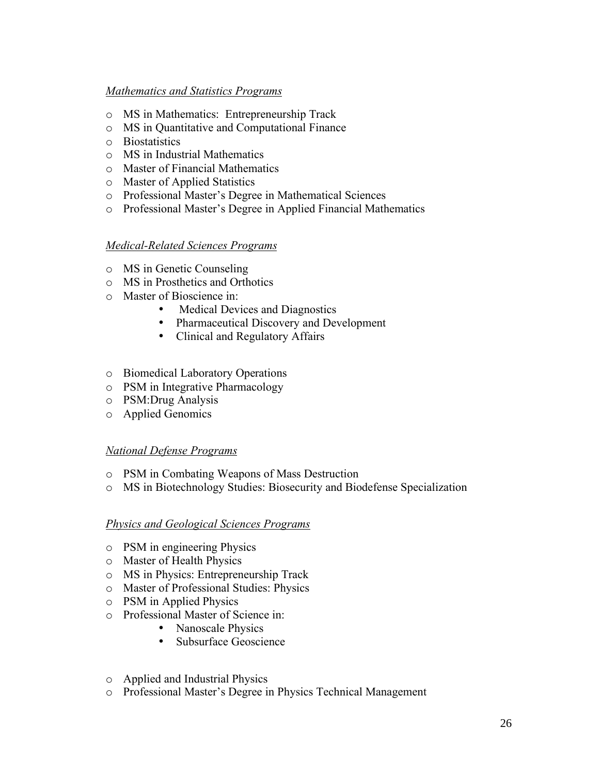## *Mathematics and Statistics Programs*

- o MS in Mathematics: Entrepreneurship Track
- o MS in Quantitative and Computational Finance
- o Biostatistics
- o MS in Industrial Mathematics
- o Master of Financial Mathematics
- o Master of Applied Statistics
- o Professional Master's Degree in Mathematical Sciences
- o Professional Master's Degree in Applied Financial Mathematics

## *Medical-Related Sciences Programs*

- o MS in Genetic Counseling
- o MS in Prosthetics and Orthotics
- o Master of Bioscience in:
	- Medical Devices and Diagnostics
	- Pharmaceutical Discovery and Development
	- Clinical and Regulatory Affairs
- o Biomedical Laboratory Operations
- o PSM in Integrative Pharmacology
- o PSM:Drug Analysis
- o Applied Genomics

## *National Defense Programs*

- o PSM in Combating Weapons of Mass Destruction
- o MS in Biotechnology Studies: Biosecurity and Biodefense Specialization

## *Physics and Geological Sciences Programs*

- o PSM in engineering Physics
- o Master of Health Physics
- o MS in Physics: Entrepreneurship Track
- o Master of Professional Studies: Physics
- o PSM in Applied Physics
- o Professional Master of Science in:
	- Nanoscale Physics
	- Subsurface Geoscience
- o Applied and Industrial Physics
- o Professional Master's Degree in Physics Technical Management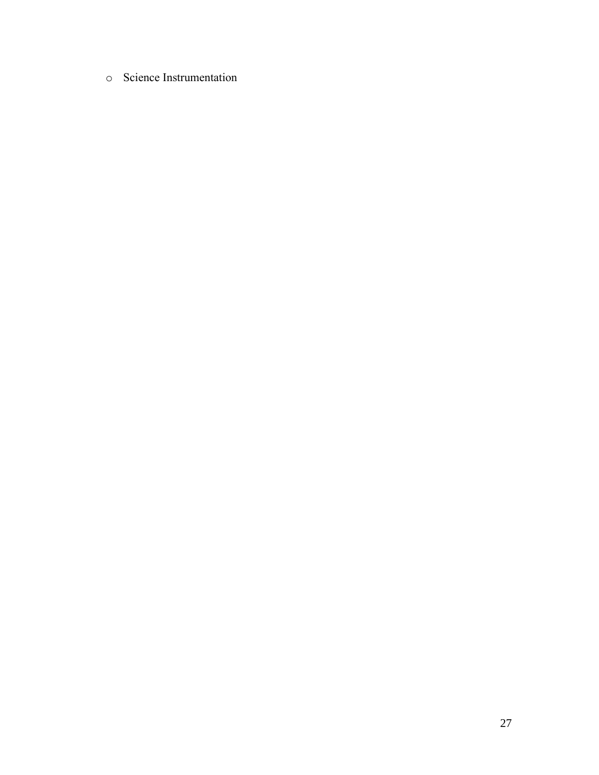o Science Instrumentation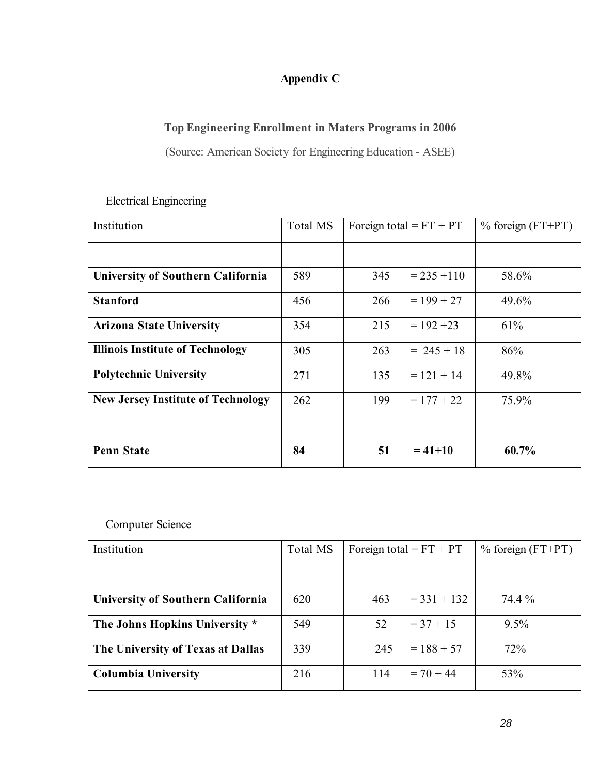# **Appendix C**

# **Top Engineering Enrollment in Maters Programs in 2006**

(Source: American Society for Engineering Education - ASEE)

| Institution                               | Total MS | Foreign total = $FT + PT$ |               | $\%$ foreign (FT+PT) |
|-------------------------------------------|----------|---------------------------|---------------|----------------------|
|                                           |          |                           |               |                      |
| <b>University of Southern California</b>  | 589      | 345                       | $= 235 + 110$ | 58.6%                |
| <b>Stanford</b>                           | 456      | 266                       | $= 199 + 27$  | 49.6%                |
| <b>Arizona State University</b>           | 354      | 215                       | $= 192 + 23$  | 61%                  |
| <b>Illinois Institute of Technology</b>   | 305      | 263                       | $= 245 + 18$  | 86%                  |
| <b>Polytechnic University</b>             | 271      | 135                       | $= 121 + 14$  | 49.8%                |
| <b>New Jersey Institute of Technology</b> | 262      | 199                       | $= 177 + 22$  | 75.9%                |
|                                           |          |                           |               |                      |
| <b>Penn State</b>                         | 84       | 51                        | $= 41 + 10$   | 60.7%                |

# Electrical Engineering

Computer Science

| Institution                              | Total MS | Foreign total = $FT + PT$ | $\%$ foreign (FT+PT) |
|------------------------------------------|----------|---------------------------|----------------------|
|                                          |          |                           |                      |
| <b>University of Southern California</b> | 620      | $=$ 331 + 132<br>463      | 74.4 %               |
| The Johns Hopkins University *           | 549      | 52<br>$=$ 37 + 15         | $9.5\%$              |
| The University of Texas at Dallas        | 339      | $= 188 + 57$<br>245       | 72%                  |
| <b>Columbia University</b>               | 216      | $= 70 + 44$<br>114        | 53%                  |